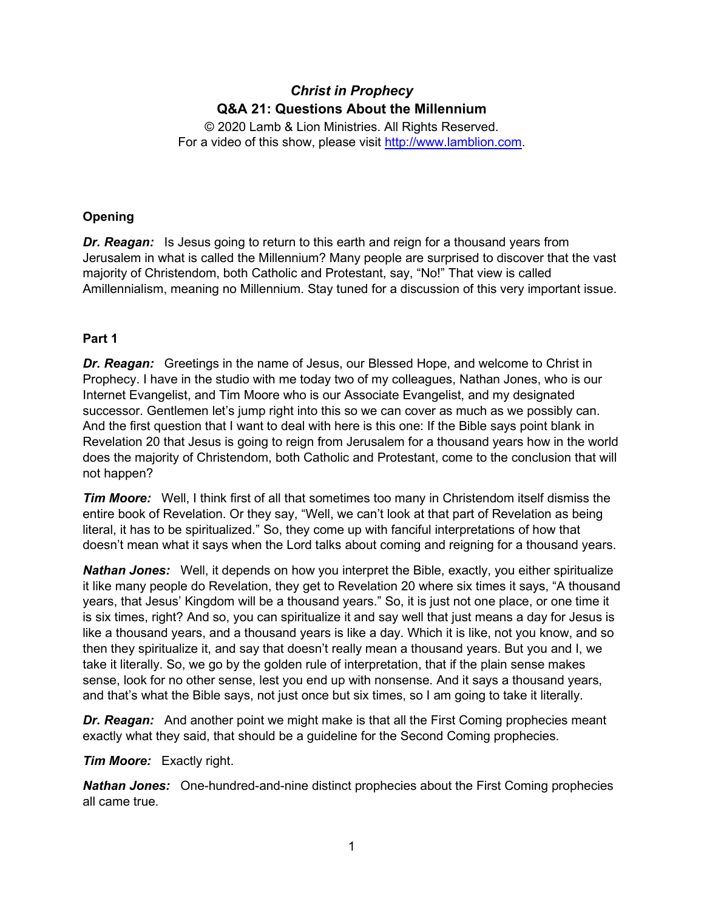# *Christ in Prophecy* **Q&A 21: Questions About the Millennium**

© 2020 Lamb & Lion Ministries. All Rights Reserved. For a video of this show, please visit [http://www.lamblion.com.](http://www.lamblion.com/)

# **Opening**

*Dr. Reagan:* Is Jesus going to return to this earth and reign for a thousand years from Jerusalem in what is called the Millennium? Many people are surprised to discover that the vast majority of Christendom, both Catholic and Protestant, say, "No!" That view is called Amillennialism, meaning no Millennium. Stay tuned for a discussion of this very important issue.

# **Part 1**

*Dr. Reagan:* Greetings in the name of Jesus, our Blessed Hope, and welcome to Christ in Prophecy. I have in the studio with me today two of my colleagues, Nathan Jones, who is our Internet Evangelist, and Tim Moore who is our Associate Evangelist, and my designated successor. Gentlemen let's jump right into this so we can cover as much as we possibly can. And the first question that I want to deal with here is this one: If the Bible says point blank in Revelation 20 that Jesus is going to reign from Jerusalem for a thousand years how in the world does the majority of Christendom, both Catholic and Protestant, come to the conclusion that will not happen?

*Tim Moore:* Well, I think first of all that sometimes too many in Christendom itself dismiss the entire book of Revelation. Or they say, "Well, we can't look at that part of Revelation as being literal, it has to be spiritualized." So, they come up with fanciful interpretations of how that doesn't mean what it says when the Lord talks about coming and reigning for a thousand years.

*Nathan Jones:* Well, it depends on how you interpret the Bible, exactly, you either spiritualize it like many people do Revelation, they get to Revelation 20 where six times it says, "A thousand years, that Jesus' Kingdom will be a thousand years." So, it is just not one place, or one time it is six times, right? And so, you can spiritualize it and say well that just means a day for Jesus is like a thousand years, and a thousand years is like a day. Which it is like, not you know, and so then they spiritualize it, and say that doesn't really mean a thousand years. But you and I, we take it literally. So, we go by the golden rule of interpretation, that if the plain sense makes sense, look for no other sense, lest you end up with nonsense. And it says a thousand years, and that's what the Bible says, not just once but six times, so I am going to take it literally.

**Dr. Reagan:** And another point we might make is that all the First Coming prophecies meant exactly what they said, that should be a guideline for the Second Coming prophecies.

### *Tim Moore:* Exactly right.

*Nathan Jones:* One-hundred-and-nine distinct prophecies about the First Coming prophecies all came true.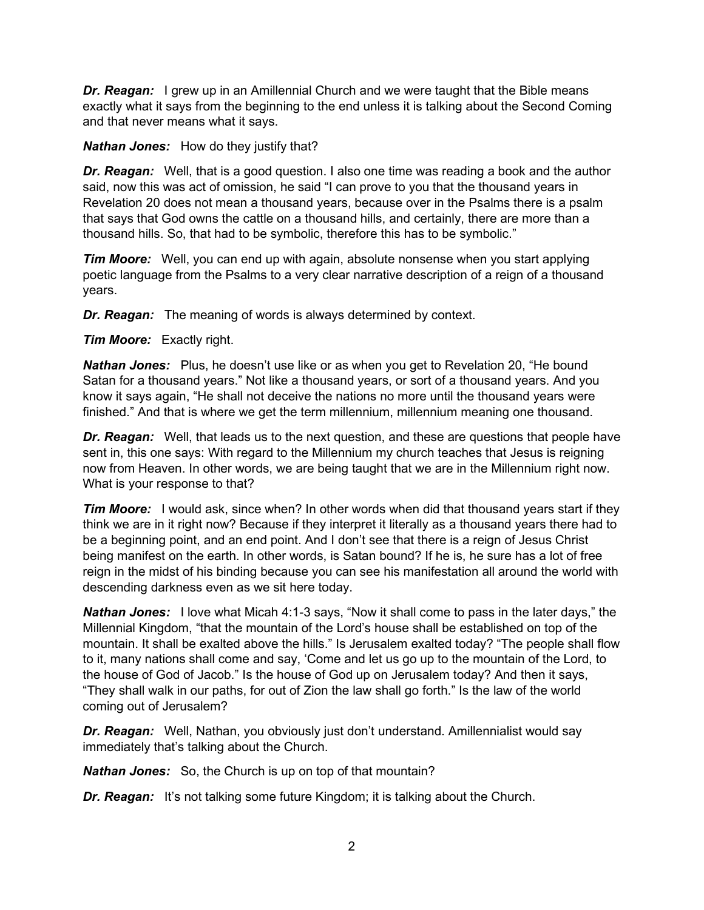**Dr. Reagan:** I grew up in an Amillennial Church and we were taught that the Bible means exactly what it says from the beginning to the end unless it is talking about the Second Coming and that never means what it says.

### *Nathan Jones:* How do they justify that?

*Dr. Reagan:* Well, that is a good question. I also one time was reading a book and the author said, now this was act of omission, he said "I can prove to you that the thousand years in Revelation 20 does not mean a thousand years, because over in the Psalms there is a psalm that says that God owns the cattle on a thousand hills, and certainly, there are more than a thousand hills. So, that had to be symbolic, therefore this has to be symbolic."

*Tim Moore:* Well, you can end up with again, absolute nonsense when you start applying poetic language from the Psalms to a very clear narrative description of a reign of a thousand years.

*Dr. Reagan:* The meaning of words is always determined by context.

### *Tim Moore:* Exactly right.

*Nathan Jones:* Plus, he doesn't use like or as when you get to Revelation 20, "He bound Satan for a thousand years." Not like a thousand years, or sort of a thousand years. And you know it says again, "He shall not deceive the nations no more until the thousand years were finished." And that is where we get the term millennium, millennium meaning one thousand.

*Dr. Reagan:* Well, that leads us to the next question, and these are questions that people have sent in, this one says: With regard to the Millennium my church teaches that Jesus is reigning now from Heaven. In other words, we are being taught that we are in the Millennium right now. What is your response to that?

*Tim Moore:* I would ask, since when? In other words when did that thousand years start if they think we are in it right now? Because if they interpret it literally as a thousand years there had to be a beginning point, and an end point. And I don't see that there is a reign of Jesus Christ being manifest on the earth. In other words, is Satan bound? If he is, he sure has a lot of free reign in the midst of his binding because you can see his manifestation all around the world with descending darkness even as we sit here today.

*Nathan Jones:* I love what Micah 4:1-3 says, "Now it shall come to pass in the later days," the Millennial Kingdom, "that the mountain of the Lord's house shall be established on top of the mountain. It shall be exalted above the hills." Is Jerusalem exalted today? "The people shall flow to it, many nations shall come and say, 'Come and let us go up to the mountain of the Lord, to the house of God of Jacob." Is the house of God up on Jerusalem today? And then it says, "They shall walk in our paths, for out of Zion the law shall go forth." Is the law of the world coming out of Jerusalem?

*Dr. Reagan:* Well, Nathan, you obviously just don't understand. Amillennialist would say immediately that's talking about the Church.

*Nathan Jones:* So, the Church is up on top of that mountain?

*Dr. Reagan:* It's not talking some future Kingdom; it is talking about the Church.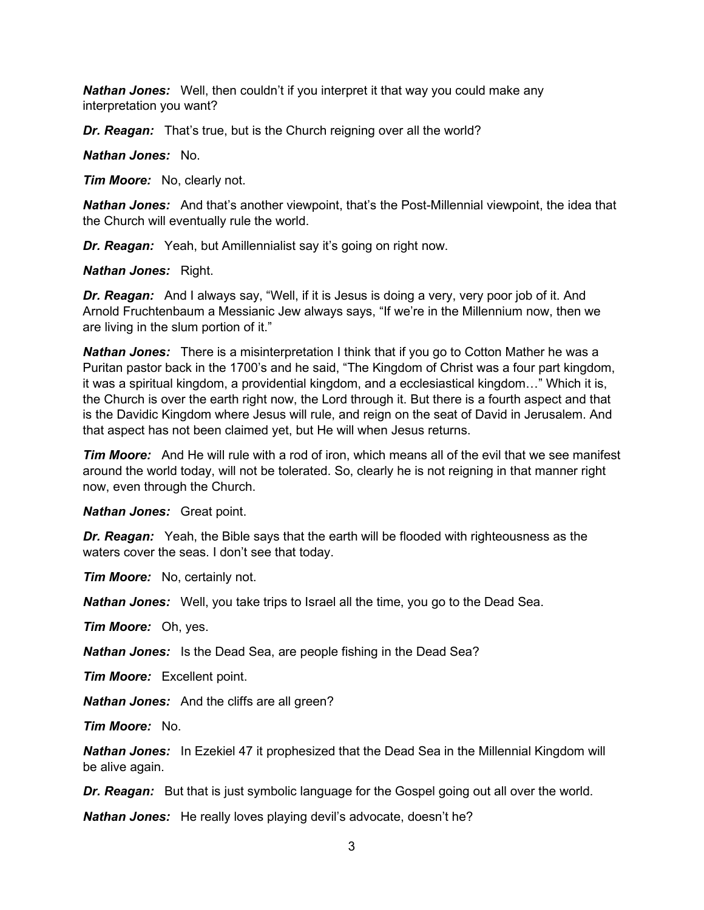*Nathan Jones:* Well, then couldn't if you interpret it that way you could make any interpretation you want?

*Dr. Reagan:* That's true, but is the Church reigning over all the world?

*Nathan Jones:* No.

*Tim Moore:* No, clearly not.

*Nathan Jones:* And that's another viewpoint, that's the Post-Millennial viewpoint, the idea that the Church will eventually rule the world.

*Dr. Reagan:* Yeah, but Amillennialist say it's going on right now.

*Nathan Jones:* Right.

*Dr. Reagan:* And I always say, "Well, if it is Jesus is doing a very, very poor job of it. And Arnold Fruchtenbaum a Messianic Jew always says, "If we're in the Millennium now, then we are living in the slum portion of it."

*Nathan Jones:* There is a misinterpretation I think that if you go to Cotton Mather he was a Puritan pastor back in the 1700's and he said, "The Kingdom of Christ was a four part kingdom, it was a spiritual kingdom, a providential kingdom, and a ecclesiastical kingdom…" Which it is, the Church is over the earth right now, the Lord through it. But there is a fourth aspect and that is the Davidic Kingdom where Jesus will rule, and reign on the seat of David in Jerusalem. And that aspect has not been claimed yet, but He will when Jesus returns.

*Tim Moore:* And He will rule with a rod of iron, which means all of the evil that we see manifest around the world today, will not be tolerated. So, clearly he is not reigning in that manner right now, even through the Church.

*Nathan Jones:* Great point.

*Dr. Reagan:* Yeah, the Bible says that the earth will be flooded with righteousness as the waters cover the seas. I don't see that today.

*Tim Moore:* No, certainly not.

*Nathan Jones:* Well, you take trips to Israel all the time, you go to the Dead Sea.

*Tim Moore:* Oh, yes.

*Nathan Jones:* Is the Dead Sea, are people fishing in the Dead Sea?

*Tim Moore:* Excellent point.

*Nathan Jones:* And the cliffs are all green?

*Tim Moore:* No.

*Nathan Jones:* In Ezekiel 47 it prophesized that the Dead Sea in the Millennial Kingdom will be alive again.

**Dr. Reagan:** But that is just symbolic language for the Gospel going out all over the world.

*Nathan Jones:* He really loves playing devil's advocate, doesn't he?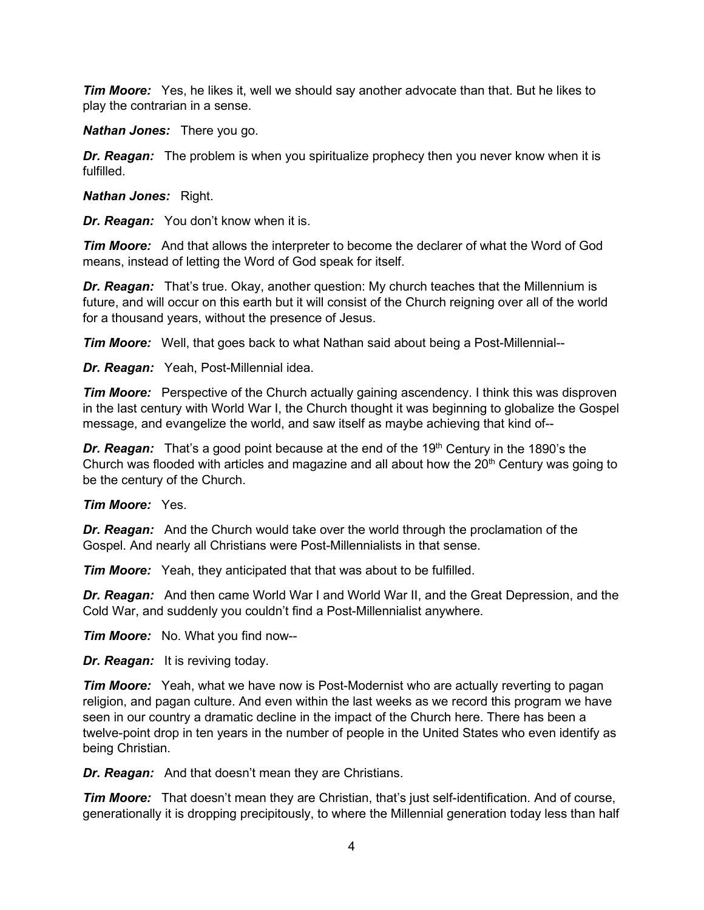*Tim Moore:* Yes, he likes it, well we should say another advocate than that. But he likes to play the contrarian in a sense.

*Nathan Jones:* There you go.

*Dr. Reagan:* The problem is when you spiritualize prophecy then you never know when it is fulfilled.

*Nathan Jones:* Right.

*Dr. Reagan:* You don't know when it is.

*Tim Moore:* And that allows the interpreter to become the declarer of what the Word of God means, instead of letting the Word of God speak for itself.

*Dr. Reagan:* That's true. Okay, another question: My church teaches that the Millennium is future, and will occur on this earth but it will consist of the Church reigning over all of the world for a thousand years, without the presence of Jesus.

*Tim Moore:* Well, that goes back to what Nathan said about being a Post-Millennial--

*Dr. Reagan:* Yeah, Post-Millennial idea.

*Tim Moore:* Perspective of the Church actually gaining ascendency. I think this was disproven in the last century with World War I, the Church thought it was beginning to globalize the Gospel message, and evangelize the world, and saw itself as maybe achieving that kind of--

**Dr. Reagan:** That's a good point because at the end of the 19<sup>th</sup> Century in the 1890's the Church was flooded with articles and magazine and all about how the  $20<sup>th</sup>$  Century was going to be the century of the Church.

*Tim Moore:* Yes.

*Dr. Reagan:* And the Church would take over the world through the proclamation of the Gospel. And nearly all Christians were Post-Millennialists in that sense.

*Tim Moore:* Yeah, they anticipated that that was about to be fulfilled.

*Dr. Reagan:* And then came World War I and World War II, and the Great Depression, and the Cold War, and suddenly you couldn't find a Post-Millennialist anywhere.

*Tim Moore:* No. What you find now--

*Dr. Reagan:* It is reviving today.

*Tim Moore:* Yeah, what we have now is Post-Modernist who are actually reverting to pagan religion, and pagan culture. And even within the last weeks as we record this program we have seen in our country a dramatic decline in the impact of the Church here. There has been a twelve-point drop in ten years in the number of people in the United States who even identify as being Christian.

*Dr. Reagan:* And that doesn't mean they are Christians.

*Tim Moore:* That doesn't mean they are Christian, that's just self-identification. And of course, generationally it is dropping precipitously, to where the Millennial generation today less than half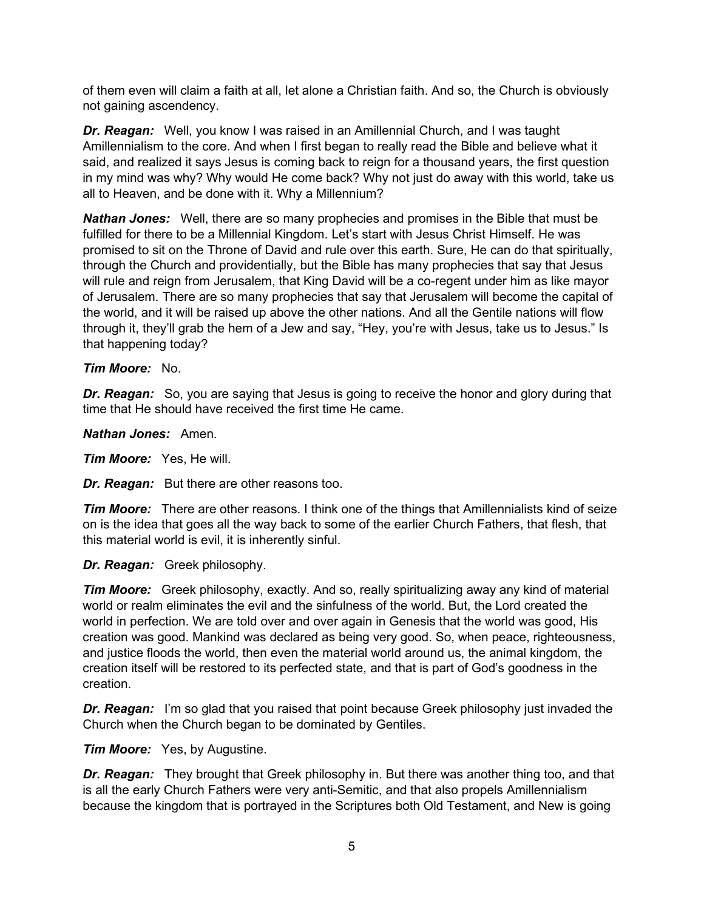of them even will claim a faith at all, let alone a Christian faith. And so, the Church is obviously not gaining ascendency.

*Dr. Reagan:* Well, you know I was raised in an Amillennial Church, and I was taught Amillennialism to the core. And when I first began to really read the Bible and believe what it said, and realized it says Jesus is coming back to reign for a thousand years, the first question in my mind was why? Why would He come back? Why not just do away with this world, take us all to Heaven, and be done with it. Why a Millennium?

*Nathan Jones:* Well, there are so many prophecies and promises in the Bible that must be fulfilled for there to be a Millennial Kingdom. Let's start with Jesus Christ Himself. He was promised to sit on the Throne of David and rule over this earth. Sure, He can do that spiritually, through the Church and providentially, but the Bible has many prophecies that say that Jesus will rule and reign from Jerusalem, that King David will be a co-regent under him as like mayor of Jerusalem. There are so many prophecies that say that Jerusalem will become the capital of the world, and it will be raised up above the other nations. And all the Gentile nations will flow through it, they'll grab the hem of a Jew and say, "Hey, you're with Jesus, take us to Jesus." Is that happening today?

### *Tim Moore:* No.

*Dr. Reagan:* So, you are saying that Jesus is going to receive the honor and glory during that time that He should have received the first time He came.

*Nathan Jones:* Amen.

*Tim Moore:* Yes, He will.

*Dr. Reagan:* But there are other reasons too.

*Tim Moore:* There are other reasons. I think one of the things that Amillennialists kind of seize on is the idea that goes all the way back to some of the earlier Church Fathers, that flesh, that this material world is evil, it is inherently sinful.

*Dr. Reagan:* Greek philosophy.

*Tim Moore:* Greek philosophy, exactly. And so, really spiritualizing away any kind of material world or realm eliminates the evil and the sinfulness of the world. But, the Lord created the world in perfection. We are told over and over again in Genesis that the world was good, His creation was good. Mankind was declared as being very good. So, when peace, righteousness, and justice floods the world, then even the material world around us, the animal kingdom, the creation itself will be restored to its perfected state, and that is part of God's goodness in the creation.

**Dr. Reagan:** I'm so glad that you raised that point because Greek philosophy just invaded the Church when the Church began to be dominated by Gentiles.

*Tim Moore:* Yes, by Augustine.

*Dr. Reagan:* They brought that Greek philosophy in. But there was another thing too, and that is all the early Church Fathers were very anti-Semitic, and that also propels Amillennialism because the kingdom that is portrayed in the Scriptures both Old Testament, and New is going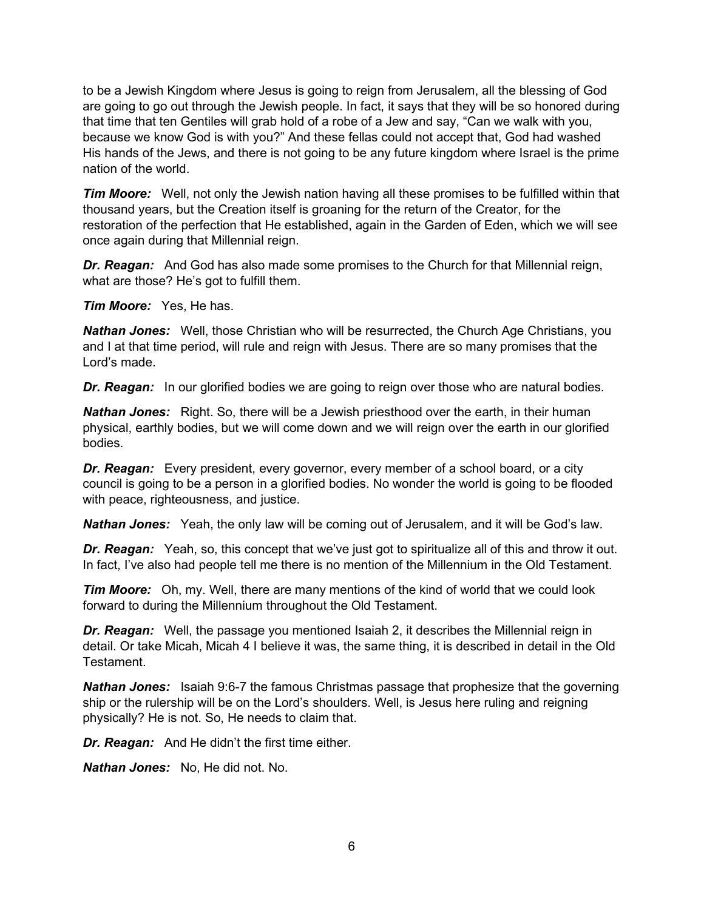to be a Jewish Kingdom where Jesus is going to reign from Jerusalem, all the blessing of God are going to go out through the Jewish people. In fact, it says that they will be so honored during that time that ten Gentiles will grab hold of a robe of a Jew and say, "Can we walk with you, because we know God is with you?" And these fellas could not accept that, God had washed His hands of the Jews, and there is not going to be any future kingdom where Israel is the prime nation of the world.

*Tim Moore:* Well, not only the Jewish nation having all these promises to be fulfilled within that thousand years, but the Creation itself is groaning for the return of the Creator, for the restoration of the perfection that He established, again in the Garden of Eden, which we will see once again during that Millennial reign.

*Dr. Reagan:* And God has also made some promises to the Church for that Millennial reign, what are those? He's got to fulfill them.

*Tim Moore:* Yes, He has.

*Nathan Jones:* Well, those Christian who will be resurrected, the Church Age Christians, you and I at that time period, will rule and reign with Jesus. There are so many promises that the Lord's made.

*Dr. Reagan:* In our glorified bodies we are going to reign over those who are natural bodies.

*Nathan Jones:* Right. So, there will be a Jewish priesthood over the earth, in their human physical, earthly bodies, but we will come down and we will reign over the earth in our glorified bodies.

*Dr. Reagan:* Every president, every governor, every member of a school board, or a city council is going to be a person in a glorified bodies. No wonder the world is going to be flooded with peace, righteousness, and justice.

*Nathan Jones:* Yeah, the only law will be coming out of Jerusalem, and it will be God's law.

*Dr. Reagan:* Yeah, so, this concept that we've just got to spiritualize all of this and throw it out. In fact, I've also had people tell me there is no mention of the Millennium in the Old Testament.

*Tim Moore:* Oh, my. Well, there are many mentions of the kind of world that we could look forward to during the Millennium throughout the Old Testament.

*Dr. Reagan:* Well, the passage you mentioned Isaiah 2, it describes the Millennial reign in detail. Or take Micah, Micah 4 I believe it was, the same thing, it is described in detail in the Old Testament.

**Nathan Jones:** Isaiah 9:6-7 the famous Christmas passage that prophesize that the governing ship or the rulership will be on the Lord's shoulders. Well, is Jesus here ruling and reigning physically? He is not. So, He needs to claim that.

*Dr. Reagan:* And He didn't the first time either.

*Nathan Jones:* No, He did not. No.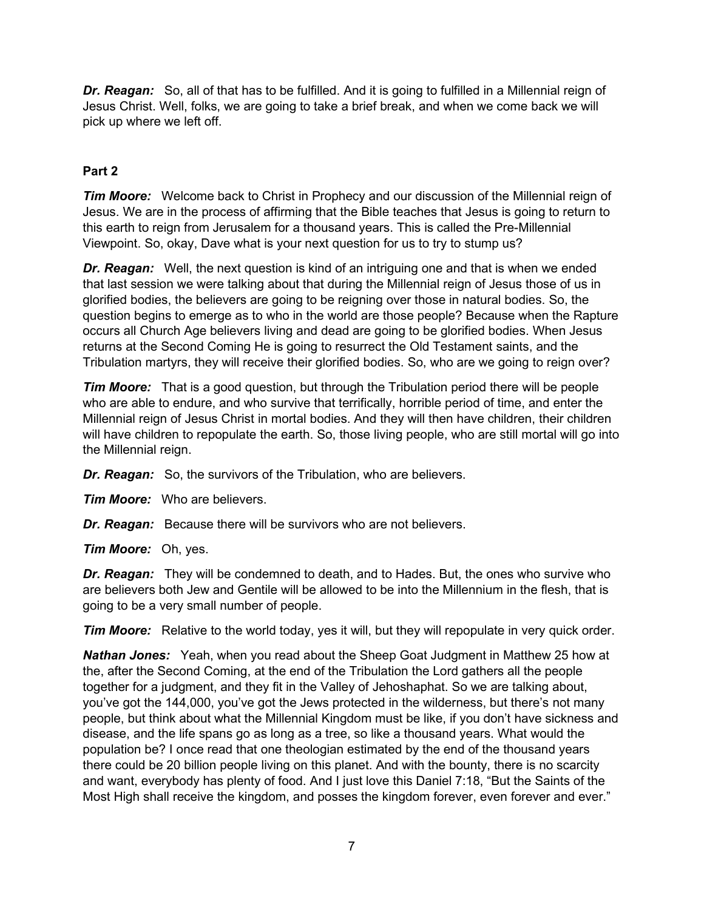*Dr. Reagan:* So, all of that has to be fulfilled. And it is going to fulfilled in a Millennial reign of Jesus Christ. Well, folks, we are going to take a brief break, and when we come back we will pick up where we left off.

# **Part 2**

*Tim Moore:* Welcome back to Christ in Prophecy and our discussion of the Millennial reign of Jesus. We are in the process of affirming that the Bible teaches that Jesus is going to return to this earth to reign from Jerusalem for a thousand years. This is called the Pre-Millennial Viewpoint. So, okay, Dave what is your next question for us to try to stump us?

*Dr. Reagan:* Well, the next question is kind of an intriguing one and that is when we ended that last session we were talking about that during the Millennial reign of Jesus those of us in glorified bodies, the believers are going to be reigning over those in natural bodies. So, the question begins to emerge as to who in the world are those people? Because when the Rapture occurs all Church Age believers living and dead are going to be glorified bodies. When Jesus returns at the Second Coming He is going to resurrect the Old Testament saints, and the Tribulation martyrs, they will receive their glorified bodies. So, who are we going to reign over?

*Tim Moore:* That is a good question, but through the Tribulation period there will be people who are able to endure, and who survive that terrifically, horrible period of time, and enter the Millennial reign of Jesus Christ in mortal bodies. And they will then have children, their children will have children to repopulate the earth. So, those living people, who are still mortal will go into the Millennial reign.

*Dr. Reagan:* So, the survivors of the Tribulation, who are believers.

*Tim Moore:* Who are believers.

*Dr. Reagan:* Because there will be survivors who are not believers.

*Tim Moore:* Oh, yes.

*Dr. Reagan:* They will be condemned to death, and to Hades. But, the ones who survive who are believers both Jew and Gentile will be allowed to be into the Millennium in the flesh, that is going to be a very small number of people.

*Tim Moore:* Relative to the world today, yes it will, but they will repopulate in very quick order.

*Nathan Jones:* Yeah, when you read about the Sheep Goat Judgment in Matthew 25 how at the, after the Second Coming, at the end of the Tribulation the Lord gathers all the people together for a judgment, and they fit in the Valley of Jehoshaphat. So we are talking about, you've got the 144,000, you've got the Jews protected in the wilderness, but there's not many people, but think about what the Millennial Kingdom must be like, if you don't have sickness and disease, and the life spans go as long as a tree, so like a thousand years. What would the population be? I once read that one theologian estimated by the end of the thousand years there could be 20 billion people living on this planet. And with the bounty, there is no scarcity and want, everybody has plenty of food. And I just love this Daniel 7:18, "But the Saints of the Most High shall receive the kingdom, and posses the kingdom forever, even forever and ever."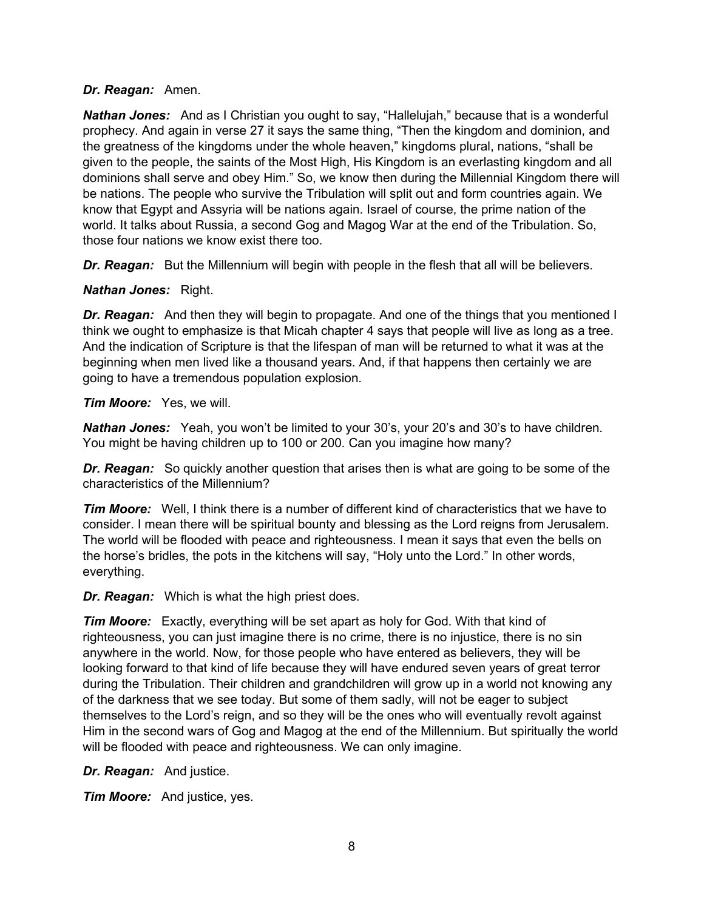### *Dr. Reagan:* Amen.

*Nathan Jones:* And as I Christian you ought to say, "Hallelujah," because that is a wonderful prophecy. And again in verse 27 it says the same thing, "Then the kingdom and dominion, and the greatness of the kingdoms under the whole heaven," kingdoms plural, nations, "shall be given to the people, the saints of the Most High, His Kingdom is an everlasting kingdom and all dominions shall serve and obey Him." So, we know then during the Millennial Kingdom there will be nations. The people who survive the Tribulation will split out and form countries again. We know that Egypt and Assyria will be nations again. Israel of course, the prime nation of the world. It talks about Russia, a second Gog and Magog War at the end of the Tribulation. So, those four nations we know exist there too.

**Dr. Reagan:** But the Millennium will begin with people in the flesh that all will be believers.

### *Nathan Jones:* Right.

*Dr. Reagan:* And then they will begin to propagate. And one of the things that you mentioned I think we ought to emphasize is that Micah chapter 4 says that people will live as long as a tree. And the indication of Scripture is that the lifespan of man will be returned to what it was at the beginning when men lived like a thousand years. And, if that happens then certainly we are going to have a tremendous population explosion.

#### *Tim Moore:* Yes, we will.

*Nathan Jones:* Yeah, you won't be limited to your 30's, your 20's and 30's to have children. You might be having children up to 100 or 200. Can you imagine how many?

*Dr. Reagan:* So quickly another question that arises then is what are going to be some of the characteristics of the Millennium?

*Tim Moore:* Well, I think there is a number of different kind of characteristics that we have to consider. I mean there will be spiritual bounty and blessing as the Lord reigns from Jerusalem. The world will be flooded with peace and righteousness. I mean it says that even the bells on the horse's bridles, the pots in the kitchens will say, "Holy unto the Lord." In other words, everything.

*Dr. Reagan:* Which is what the high priest does.

*Tim Moore:* Exactly, everything will be set apart as holy for God. With that kind of righteousness, you can just imagine there is no crime, there is no injustice, there is no sin anywhere in the world. Now, for those people who have entered as believers, they will be looking forward to that kind of life because they will have endured seven years of great terror during the Tribulation. Their children and grandchildren will grow up in a world not knowing any of the darkness that we see today. But some of them sadly, will not be eager to subject themselves to the Lord's reign, and so they will be the ones who will eventually revolt against Him in the second wars of Gog and Magog at the end of the Millennium. But spiritually the world will be flooded with peace and righteousness. We can only imagine.

*Dr. Reagan:* And justice.

*Tim Moore:* And justice, yes.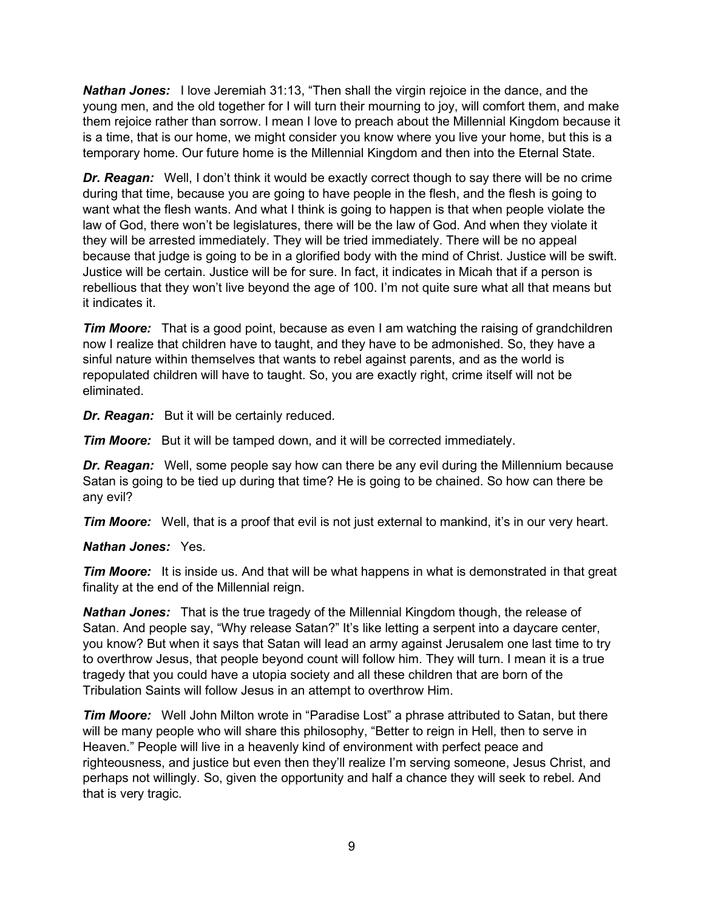*Nathan Jones:* I love Jeremiah 31:13, "Then shall the virgin rejoice in the dance, and the young men, and the old together for I will turn their mourning to joy, will comfort them, and make them rejoice rather than sorrow. I mean I love to preach about the Millennial Kingdom because it is a time, that is our home, we might consider you know where you live your home, but this is a temporary home. Our future home is the Millennial Kingdom and then into the Eternal State.

*Dr. Reagan:* Well, I don't think it would be exactly correct though to say there will be no crime during that time, because you are going to have people in the flesh, and the flesh is going to want what the flesh wants. And what I think is going to happen is that when people violate the law of God, there won't be legislatures, there will be the law of God. And when they violate it they will be arrested immediately. They will be tried immediately. There will be no appeal because that judge is going to be in a glorified body with the mind of Christ. Justice will be swift. Justice will be certain. Justice will be for sure. In fact, it indicates in Micah that if a person is rebellious that they won't live beyond the age of 100. I'm not quite sure what all that means but it indicates it.

*Tim Moore:* That is a good point, because as even I am watching the raising of grandchildren now I realize that children have to taught, and they have to be admonished. So, they have a sinful nature within themselves that wants to rebel against parents, and as the world is repopulated children will have to taught. So, you are exactly right, crime itself will not be eliminated.

*Dr. Reagan:* But it will be certainly reduced.

*Tim Moore:* But it will be tamped down, and it will be corrected immediately.

*Dr. Reagan:* Well, some people say how can there be any evil during the Millennium because Satan is going to be tied up during that time? He is going to be chained. So how can there be any evil?

*Tim Moore:* Well, that is a proof that evil is not just external to mankind, it's in our very heart.

### *Nathan Jones:* Yes.

*Tim Moore:* It is inside us. And that will be what happens in what is demonstrated in that great finality at the end of the Millennial reign.

*Nathan Jones:* That is the true tragedy of the Millennial Kingdom though, the release of Satan. And people say, "Why release Satan?" It's like letting a serpent into a daycare center, you know? But when it says that Satan will lead an army against Jerusalem one last time to try to overthrow Jesus, that people beyond count will follow him. They will turn. I mean it is a true tragedy that you could have a utopia society and all these children that are born of the Tribulation Saints will follow Jesus in an attempt to overthrow Him.

*Tim Moore:* Well John Milton wrote in "Paradise Lost" a phrase attributed to Satan, but there will be many people who will share this philosophy, "Better to reign in Hell, then to serve in Heaven." People will live in a heavenly kind of environment with perfect peace and righteousness, and justice but even then they'll realize I'm serving someone, Jesus Christ, and perhaps not willingly. So, given the opportunity and half a chance they will seek to rebel. And that is very tragic.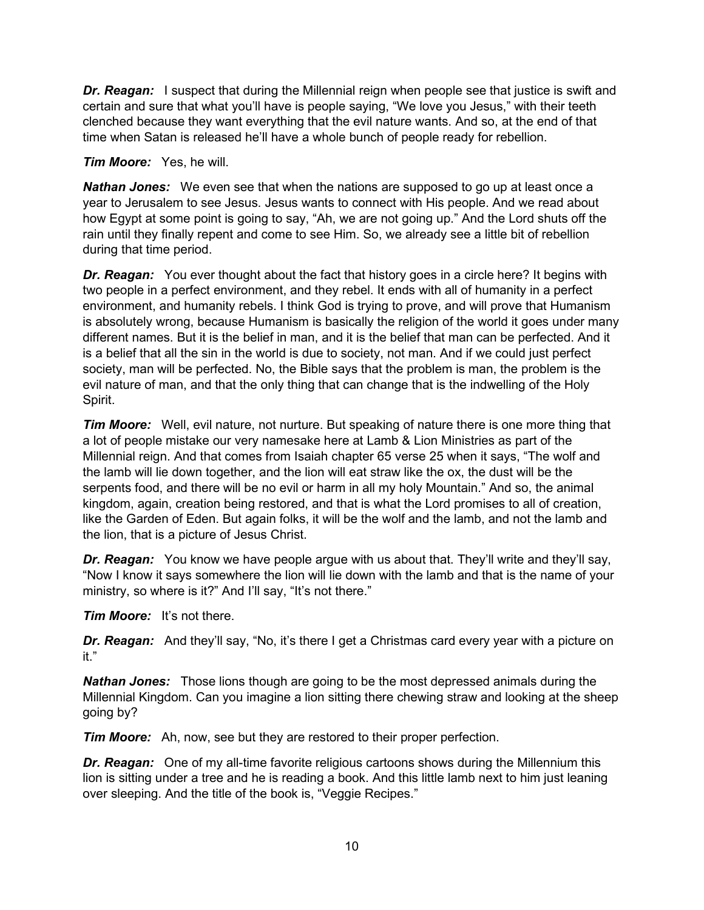**Dr. Reagan:** I suspect that during the Millennial reign when people see that justice is swift and certain and sure that what you'll have is people saying, "We love you Jesus," with their teeth clenched because they want everything that the evil nature wants. And so, at the end of that time when Satan is released he'll have a whole bunch of people ready for rebellion.

### *Tim Moore:* Yes, he will.

*Nathan Jones:* We even see that when the nations are supposed to go up at least once a year to Jerusalem to see Jesus. Jesus wants to connect with His people. And we read about how Egypt at some point is going to say, "Ah, we are not going up." And the Lord shuts off the rain until they finally repent and come to see Him. So, we already see a little bit of rebellion during that time period.

*Dr. Reagan:* You ever thought about the fact that history goes in a circle here? It begins with two people in a perfect environment, and they rebel. It ends with all of humanity in a perfect environment, and humanity rebels. I think God is trying to prove, and will prove that Humanism is absolutely wrong, because Humanism is basically the religion of the world it goes under many different names. But it is the belief in man, and it is the belief that man can be perfected. And it is a belief that all the sin in the world is due to society, not man. And if we could just perfect society, man will be perfected. No, the Bible says that the problem is man, the problem is the evil nature of man, and that the only thing that can change that is the indwelling of the Holy Spirit.

*Tim Moore:* Well, evil nature, not nurture. But speaking of nature there is one more thing that a lot of people mistake our very namesake here at Lamb & Lion Ministries as part of the Millennial reign. And that comes from Isaiah chapter 65 verse 25 when it says, "The wolf and the lamb will lie down together, and the lion will eat straw like the ox, the dust will be the serpents food, and there will be no evil or harm in all my holy Mountain." And so, the animal kingdom, again, creation being restored, and that is what the Lord promises to all of creation, like the Garden of Eden. But again folks, it will be the wolf and the lamb, and not the lamb and the lion, that is a picture of Jesus Christ.

*Dr. Reagan:* You know we have people argue with us about that. They'll write and they'll say, "Now I know it says somewhere the lion will lie down with the lamb and that is the name of your ministry, so where is it?" And I'll say, "It's not there."

*Tim Moore:* It's not there.

*Dr. Reagan:* And they'll say, "No, it's there I get a Christmas card every year with a picture on it."

*Nathan Jones:* Those lions though are going to be the most depressed animals during the Millennial Kingdom. Can you imagine a lion sitting there chewing straw and looking at the sheep going by?

*Tim Moore:* Ah, now, see but they are restored to their proper perfection.

*Dr. Reagan:* One of my all-time favorite religious cartoons shows during the Millennium this lion is sitting under a tree and he is reading a book. And this little lamb next to him just leaning over sleeping. And the title of the book is, "Veggie Recipes."